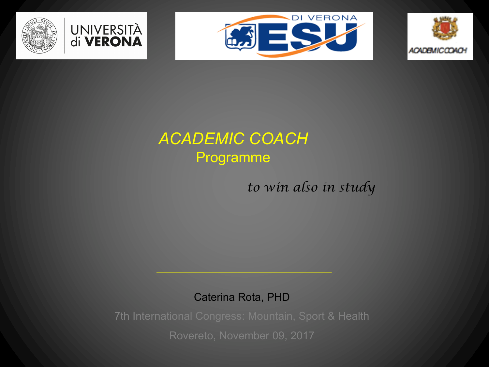







## *ACADEMIC COACH* Programme

*to win also in study*

Caterina Rota, PHD

7th International Congress: Mountain, Sport & Health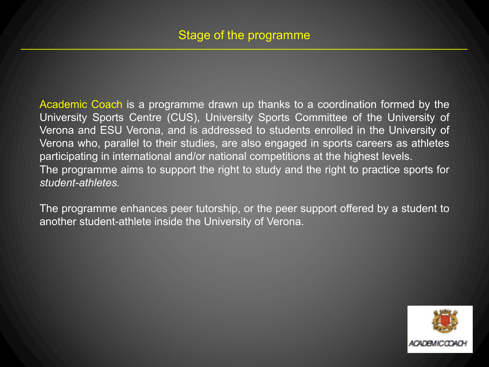Academic Coach is a programme drawn up thanks to a coordination formed by the University Sports Centre (CUS), University Sports Committee of the University of Verona and ESU Verona, and is addressed to students enrolled in the University of Verona who, parallel to their studies, are also engaged in sports careers as athletes participating in international and/or national competitions at the highest levels. The programme aims to support the right to study and the right to practice sports for *student-athletes.*

The programme enhances peer tutorship, or the peer support offered by a student to another student-athlete inside the University of Verona.

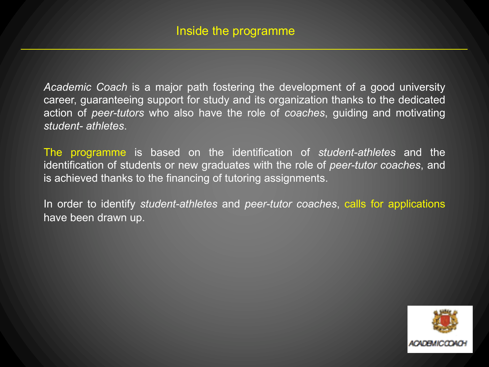*Academic Coach* is a major path fostering the development of a good university career, guaranteeing support for study and its organization thanks to the dedicated action of *peer-tutors* who also have the role of *coaches*, guiding and motivating *student- athletes*.

The programme is based on the identification of *student-athletes* and the identification of students or new graduates with the role of *peer-tutor coaches*, and is achieved thanks to the financing of tutoring assignments.

In order to identify *student-athletes* and *peer-tutor coaches*, calls for applications have been drawn up.

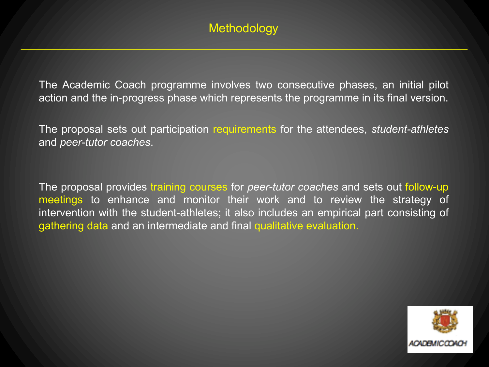The Academic Coach programme involves two consecutive phases, an initial pilot action and the in-progress phase which represents the programme in its final version.

The proposal sets out participation requirements for the attendees, *student-athletes* and *peer-tutor coaches*.

The proposal provides training courses for *peer-tutor coaches* and sets out follow-up meetings to enhance and monitor their work and to review the strategy of intervention with the student-athletes; it also includes an empirical part consisting of gathering data and an intermediate and final qualitative evaluation.

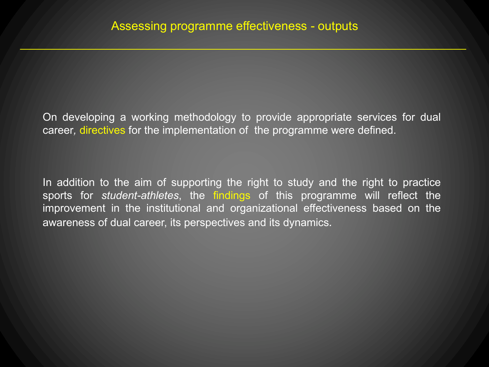On developing a working methodology to provide appropriate services for dual career*,* directives for the implementation of the programme were defined.

In addition to the aim of supporting the right to study and the right to practice sports for *student-athletes*, the findings of this programme will reflect the improvement in the institutional and organizational effectiveness based on the awareness of dual career, its perspectives and its dynamics*.*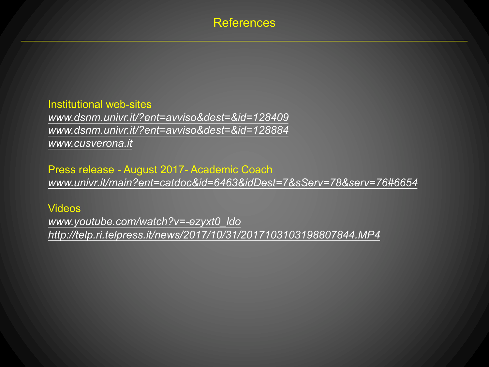## References

Institutional web-sites *www.dsnm.univr.it/?ent=avviso&dest=&id=128409 www.dsnm.univr.it/?ent=avviso&dest=&id=128884 www.cusverona.it*

Press release - August 2017- Academic Coach *www.univr.it/main?ent=catdoc&id=6463&idDest=7&sServ=78&serv=76#6654*

Videos

*www.youtube.com/watch?v=-ezyxt0\_ldo http://telp.ri.telpress.it/news/2017/10/31/2017103103198807844.MP4*